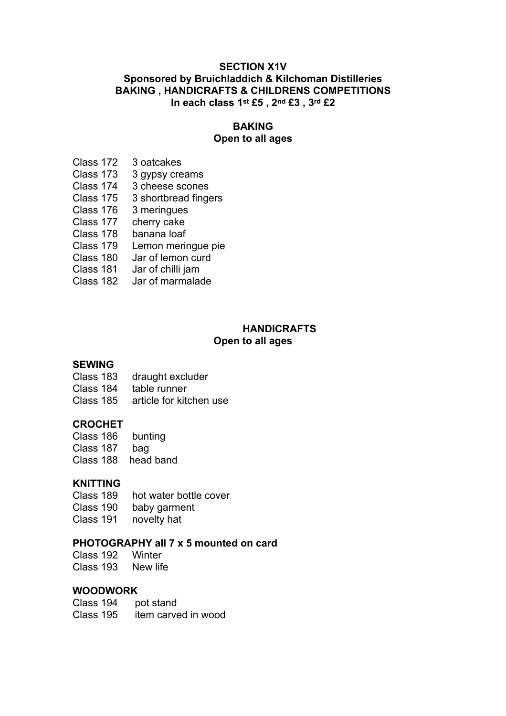## **SECTION X1V Sponsored by Bruichladdich & Kilchoman Distilleries BAKING , HANDICRAFTS & CHILDRENS COMPETITIONS In each class 1st £5 , 2nd £3 , 3rd £2**

## **BAKING**

# **Open to all ages**

- Class 172 3 oatcakes
- Class 173 3 gypsy creams
- Class 174 3 cheese scones
- Class 175 3 shortbread fingers
- Class 176 3 meringues
- Class 177 cherry cake
- Class 178 banana loaf
	- Class 179 Lemon meringue pie
- Class 180 Jar of lemon curd
- Class 181 Jar of chilli jam
- Class 182 Jar of marmalade

#### **HANDICRAFTS Open to all ages**

## **SEWING**

- Class 183 draught excluder
- Class 184 table runner
- Class 185 article for kitchen use

## **CROCHET**

- Class 186 bunting
- Class 187 bag
- Class 188 head band

## **KNITTING**

- Class 189 hot water bottle cover
- Class 190 baby garment
- Class 191 novelty hat

### **PHOTOGRAPHY all 7 x 5 mounted on card**

Class 192 Winter Class 193 New life

### **WOODWORK**

 Class 194 pot stand Class 195 item carved in wood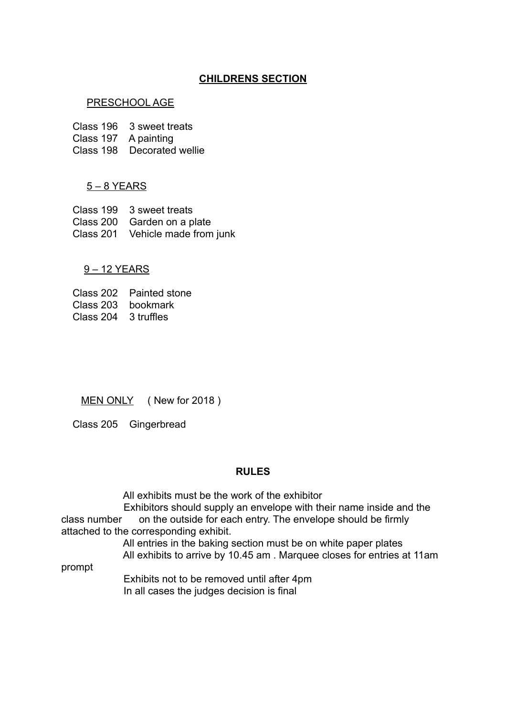## **CHILDRENS SECTION**

### PRESCHOOL AGE

Class 196 3 sweet treats

Class 197 A painting

Class 198 Decorated wellie

### 5 – 8 YEARS

 Class 199 3 sweet treats Class 200 Garden on a plate Class 201 Vehicle made from junk

#### 9 – 12 YEARS

 Class 202 Painted stone Class 203 bookmark Class 204 3 truffles

MEN ONLY (New for 2018)

Class 205 Gingerbread

#### **RULES**

All exhibits must be the work of the exhibitor

 Exhibitors should supply an envelope with their name inside and the class number on the outside for each entry. The envelope should be firmly attached to the corresponding exhibit.

> All entries in the baking section must be on white paper plates All exhibits to arrive by 10.45 am . Marquee closes for entries at 11am

prompt

 Exhibits not to be removed until after 4pm In all cases the judges decision is final